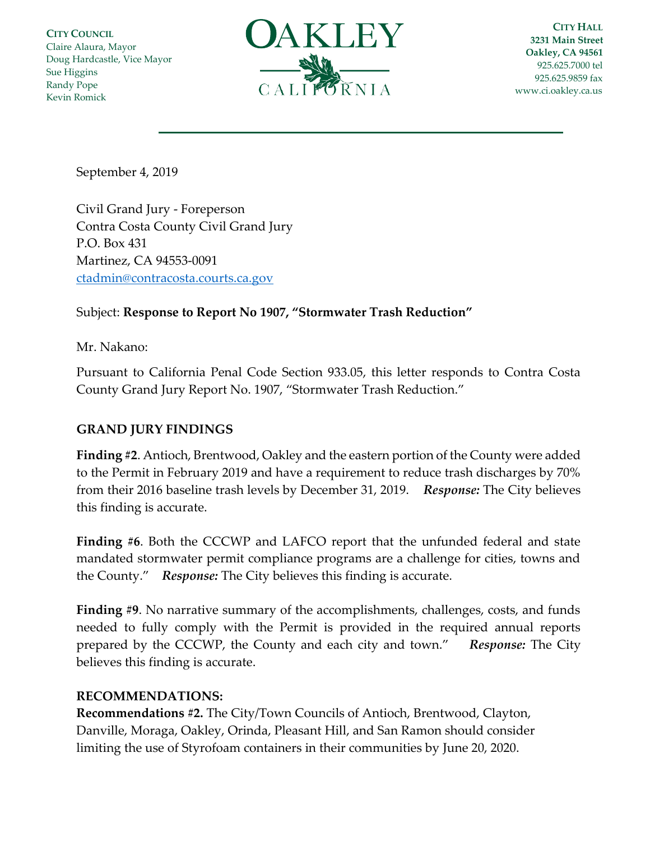**CITY COUNCIL** Claire Alaura, Mayor Doug Hardcastle, Vice Mayor Sue Higgins Randy Pope Kevin Romick



**CITY HALL 3231 Main Street Oakley, CA 94561** 925.625.7000 tel 925.625.9859 fax [www.ci.oakley.ca.us](http://www.ci.oakley.ca.us/)

September 4, 2019

Civil Grand Jury - Foreperson Contra Costa County Civil Grand Jury P.O. Box 431 Martinez, CA 94553-0091 [ctadmin@contracosta.courts.ca.gov](mailto:ctadmin@contracosta.courts.ca.gov)

## Subject: **Response to Report No 1907, "Stormwater Trash Reduction"**

Mr. Nakano:

Pursuant to California Penal Code Section 933.05, this letter responds to Contra Costa County Grand Jury Report No. 1907, "Stormwater Trash Reduction."

## **GRAND JURY FINDINGS**

**Finding #2**. Antioch, Brentwood, Oakley and the eastern portion of the County were added to the Permit in February 2019 and have a requirement to reduce trash discharges by 70% from their 2016 baseline trash levels by December 31, 2019. *Response:* The City believes this finding is accurate.

**Finding #6**. Both the CCCWP and LAFCO report that the unfunded federal and state mandated stormwater permit compliance programs are a challenge for cities, towns and the County." *Response:* The City believes this finding is accurate.

**Finding #9**. No narrative summary of the accomplishments, challenges, costs, and funds needed to fully comply with the Permit is provided in the required annual reports prepared by the CCCWP, the County and each city and town." *Response:* The City believes this finding is accurate.

## **RECOMMENDATIONS:**

**Recommendations #2.** The City/Town Councils of Antioch, Brentwood, Clayton, Danville, Moraga, Oakley, Orinda, Pleasant Hill, and San Ramon should consider limiting the use of Styrofoam containers in their communities by June 20, 2020.